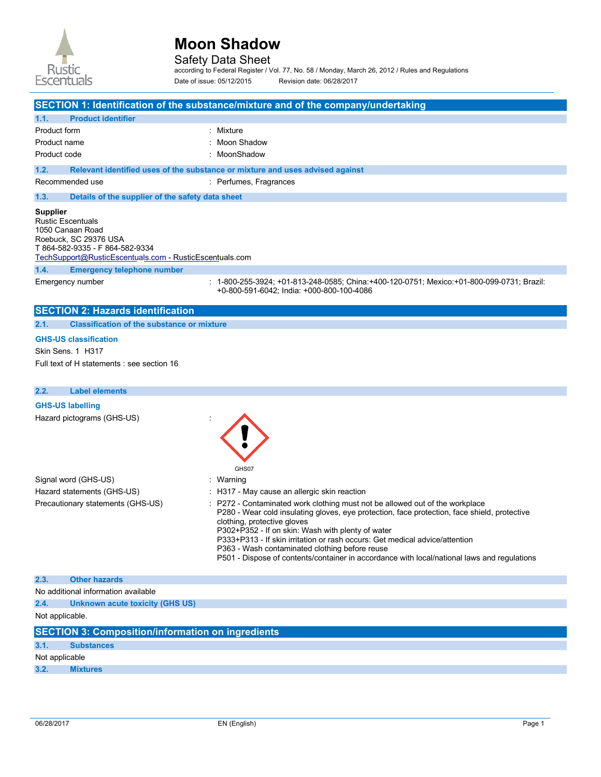

Safety Data Sheet

according to Federal Register / Vol. 77, No. 58 / Monday, March 26, 2012 / Rules and Regulations Date of issue: 05/12/2015 Revision date: 06/28/2017

| SECTION 1: Identification of the substance/mixture and of the company/undertaking |                                                                                                                                                                                        |                                                                                                                                        |  |  |
|-----------------------------------------------------------------------------------|----------------------------------------------------------------------------------------------------------------------------------------------------------------------------------------|----------------------------------------------------------------------------------------------------------------------------------------|--|--|
| 1.1.                                                                              | <b>Product identifier</b>                                                                                                                                                              |                                                                                                                                        |  |  |
| Product form                                                                      |                                                                                                                                                                                        | : Mixture                                                                                                                              |  |  |
| Product name                                                                      |                                                                                                                                                                                        | : Moon Shadow                                                                                                                          |  |  |
| Product code                                                                      |                                                                                                                                                                                        | : MoonShadow                                                                                                                           |  |  |
| 1.2.                                                                              |                                                                                                                                                                                        | Relevant identified uses of the substance or mixture and uses advised against                                                          |  |  |
|                                                                                   | Recommended use                                                                                                                                                                        | : Perfumes, Fragrances                                                                                                                 |  |  |
| 1.3.                                                                              | Details of the supplier of the safety data sheet                                                                                                                                       |                                                                                                                                        |  |  |
|                                                                                   | <b>Supplier</b><br><b>Rustic Escentuals</b><br>1050 Canaan Road<br>Roebuck, SC 29376 USA<br>T 864-582-9335 - F 864-582-9334<br>TechSupport@RusticEscentuals.com - RusticEscentuals.com |                                                                                                                                        |  |  |
| 1.4.                                                                              | <b>Emergency telephone number</b>                                                                                                                                                      |                                                                                                                                        |  |  |
|                                                                                   | Emergency number                                                                                                                                                                       | : 1-800-255-3924; +01-813-248-0585; China:+400-120-0751; Mexico:+01-800-099-0731; Brazil:<br>+0-800-591-6042; India: +000-800-100-4086 |  |  |
|                                                                                   | <b>SECTION 2: Hazards identification</b>                                                                                                                                               |                                                                                                                                        |  |  |
| 2.1.                                                                              | <b>Classification of the substance or mixture</b>                                                                                                                                      |                                                                                                                                        |  |  |
|                                                                                   | <b>GHS-US classification</b>                                                                                                                                                           |                                                                                                                                        |  |  |
| Skin Sens. 1 H317                                                                 |                                                                                                                                                                                        |                                                                                                                                        |  |  |
|                                                                                   | Full text of H statements : see section 16                                                                                                                                             |                                                                                                                                        |  |  |
| 2.2.                                                                              | <b>Label elements</b>                                                                                                                                                                  |                                                                                                                                        |  |  |
|                                                                                   | <b>GHS-US labelling</b>                                                                                                                                                                |                                                                                                                                        |  |  |

Hazard pictograms

| s (GHS-US)      | ٠                                                                                                         |
|-----------------|-----------------------------------------------------------------------------------------------------------|
|                 | GHS07                                                                                                     |
| -US)            | : Warning                                                                                                 |
| s (GHS-US)      | : H317 - May cause an allergic skin r                                                                     |
| ements (GHS-US) | : P272 - Contaminated work clothing<br>P280 - Wear cold insulating gloves,<br>clothing, protective gloves |

Signal word (GHS-Hazard statements (GHS-US) : H317 - May cause an allergic skin reaction Precautionary statements (GHS-US) : P272 - Contaminated work clothing must not be allowed out of the workplace eye protection, face protection, face shield, protective

P302+P352 - If on skin: Wash with plenty of water

P333+P313 - If skin irritation or rash occurs: Get medical advice/attention

P363 - Wash contaminated clothing before reuse

P501 - Dispose of contents/container in accordance with local/national laws and regulations

#### **2.3. Other hazards**

No additional information available

**2.4. Unknown acute toxicity (GHS US)** 

Not applicable.

| <b>SECTION 3: Composition/information on ingredients</b> |                   |  |  |  |
|----------------------------------------------------------|-------------------|--|--|--|
| 3.1.                                                     | <b>Substances</b> |  |  |  |
|                                                          | Not applicable    |  |  |  |
| 3.2.                                                     | <b>Mixtures</b>   |  |  |  |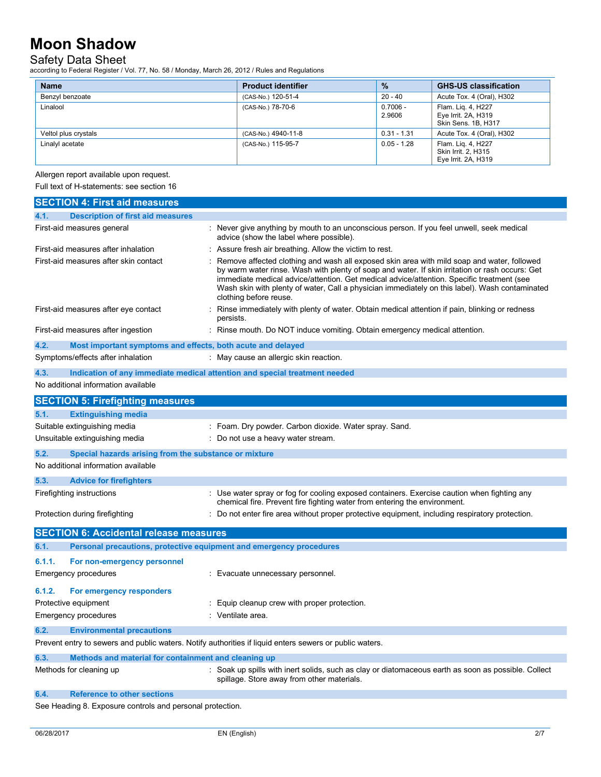### Safety Data Sheet

according to Federal Register / Vol. 77, No. 58 / Monday, March 26, 2012 / Rules and Regulations

| <b>Name</b>          | <b>Product identifier</b> | $\%$                 | <b>GHS-US classification</b>                                     |
|----------------------|---------------------------|----------------------|------------------------------------------------------------------|
| Benzyl benzoate      | (CAS-No.) 120-51-4        | $20 - 40$            | Acute Tox. 4 (Oral), H302                                        |
| Linalool             | (CAS-No.) 78-70-6         | $0.7006 -$<br>2.9606 | Flam. Lig. 4, H227<br>Eye Irrit. 2A, H319<br>Skin Sens. 1B, H317 |
| Veltol plus crystals | (CAS-No.) 4940-11-8       | $0.31 - 1.31$        | Acute Tox. 4 (Oral), H302                                        |
| Linalyl acetate      | (CAS-No.) 115-95-7        | $0.05 - 1.28$        | Flam. Lig. 4, H227<br>Skin Irrit. 2, H315<br>Eye Irrit. 2A, H319 |

Allergen report available upon request.

Full text of H-statements: see section 16

|                                                                                                         | <b>SECTION 4: First aid measures</b>                                       |                                                                                                                                                                                                                                                                                                                                                                                                                        |  |
|---------------------------------------------------------------------------------------------------------|----------------------------------------------------------------------------|------------------------------------------------------------------------------------------------------------------------------------------------------------------------------------------------------------------------------------------------------------------------------------------------------------------------------------------------------------------------------------------------------------------------|--|
| 4.1.                                                                                                    | <b>Description of first aid measures</b>                                   |                                                                                                                                                                                                                                                                                                                                                                                                                        |  |
|                                                                                                         | First-aid measures general                                                 | : Never give anything by mouth to an unconscious person. If you feel unwell, seek medical<br>advice (show the label where possible).                                                                                                                                                                                                                                                                                   |  |
|                                                                                                         | First-aid measures after inhalation                                        | : Assure fresh air breathing. Allow the victim to rest.                                                                                                                                                                                                                                                                                                                                                                |  |
|                                                                                                         | First-aid measures after skin contact                                      | Remove affected clothing and wash all exposed skin area with mild soap and water, followed<br>by warm water rinse. Wash with plenty of soap and water. If skin irritation or rash occurs: Get<br>immediate medical advice/attention. Get medical advice/attention. Specific treatment (see<br>Wash skin with plenty of water, Call a physician immediately on this label). Wash contaminated<br>clothing before reuse. |  |
|                                                                                                         | First-aid measures after eye contact                                       | Rinse immediately with plenty of water. Obtain medical attention if pain, blinking or redness<br>persists.                                                                                                                                                                                                                                                                                                             |  |
|                                                                                                         | First-aid measures after ingestion                                         | : Rinse mouth. Do NOT induce vomiting. Obtain emergency medical attention.                                                                                                                                                                                                                                                                                                                                             |  |
| 4.2.                                                                                                    | Most important symptoms and effects, both acute and delayed                |                                                                                                                                                                                                                                                                                                                                                                                                                        |  |
|                                                                                                         | Symptoms/effects after inhalation                                          | : May cause an allergic skin reaction.                                                                                                                                                                                                                                                                                                                                                                                 |  |
| 4.3.                                                                                                    | Indication of any immediate medical attention and special treatment needed |                                                                                                                                                                                                                                                                                                                                                                                                                        |  |
|                                                                                                         | No additional information available                                        |                                                                                                                                                                                                                                                                                                                                                                                                                        |  |
|                                                                                                         | <b>SECTION 5: Firefighting measures</b>                                    |                                                                                                                                                                                                                                                                                                                                                                                                                        |  |
| 5.1.                                                                                                    | <b>Extinguishing media</b>                                                 |                                                                                                                                                                                                                                                                                                                                                                                                                        |  |
|                                                                                                         | Suitable extinguishing media                                               | : Foam. Dry powder. Carbon dioxide. Water spray. Sand.                                                                                                                                                                                                                                                                                                                                                                 |  |
|                                                                                                         | Unsuitable extinguishing media                                             | : Do not use a heavy water stream.                                                                                                                                                                                                                                                                                                                                                                                     |  |
| 5.2.                                                                                                    | Special hazards arising from the substance or mixture                      |                                                                                                                                                                                                                                                                                                                                                                                                                        |  |
|                                                                                                         | No additional information available                                        |                                                                                                                                                                                                                                                                                                                                                                                                                        |  |
| 5.3.                                                                                                    | <b>Advice for firefighters</b>                                             |                                                                                                                                                                                                                                                                                                                                                                                                                        |  |
|                                                                                                         | Firefighting instructions                                                  | : Use water spray or fog for cooling exposed containers. Exercise caution when fighting any<br>chemical fire. Prevent fire fighting water from entering the environment.                                                                                                                                                                                                                                               |  |
|                                                                                                         | Protection during firefighting                                             | : Do not enter fire area without proper protective equipment, including respiratory protection.                                                                                                                                                                                                                                                                                                                        |  |
|                                                                                                         | <b>SECTION 6: Accidental release measures</b>                              |                                                                                                                                                                                                                                                                                                                                                                                                                        |  |
| 6.1.                                                                                                    | Personal precautions, protective equipment and emergency procedures        |                                                                                                                                                                                                                                                                                                                                                                                                                        |  |
| 6.1.1.                                                                                                  | For non-emergency personnel                                                |                                                                                                                                                                                                                                                                                                                                                                                                                        |  |
|                                                                                                         | Emergency procedures                                                       | : Evacuate unnecessary personnel.                                                                                                                                                                                                                                                                                                                                                                                      |  |
| 6.1.2.                                                                                                  | For emergency responders                                                   |                                                                                                                                                                                                                                                                                                                                                                                                                        |  |
|                                                                                                         | Protective equipment                                                       | : Equip cleanup crew with proper protection.                                                                                                                                                                                                                                                                                                                                                                           |  |
|                                                                                                         | <b>Emergency procedures</b>                                                | : Ventilate area.                                                                                                                                                                                                                                                                                                                                                                                                      |  |
| 6.2.                                                                                                    | <b>Environmental precautions</b>                                           |                                                                                                                                                                                                                                                                                                                                                                                                                        |  |
| Prevent entry to sewers and public waters. Notify authorities if liquid enters sewers or public waters. |                                                                            |                                                                                                                                                                                                                                                                                                                                                                                                                        |  |
| 6.3.<br>Methods and material for containment and cleaning up                                            |                                                                            |                                                                                                                                                                                                                                                                                                                                                                                                                        |  |
|                                                                                                         | Methods for cleaning up                                                    | : Soak up spills with inert solids, such as clay or diatomaceous earth as soon as possible. Collect<br>spillage. Store away from other materials.                                                                                                                                                                                                                                                                      |  |
| 6.4.                                                                                                    | <b>Reference to other sections</b>                                         |                                                                                                                                                                                                                                                                                                                                                                                                                        |  |

See Heading 8. Exposure controls and personal protection.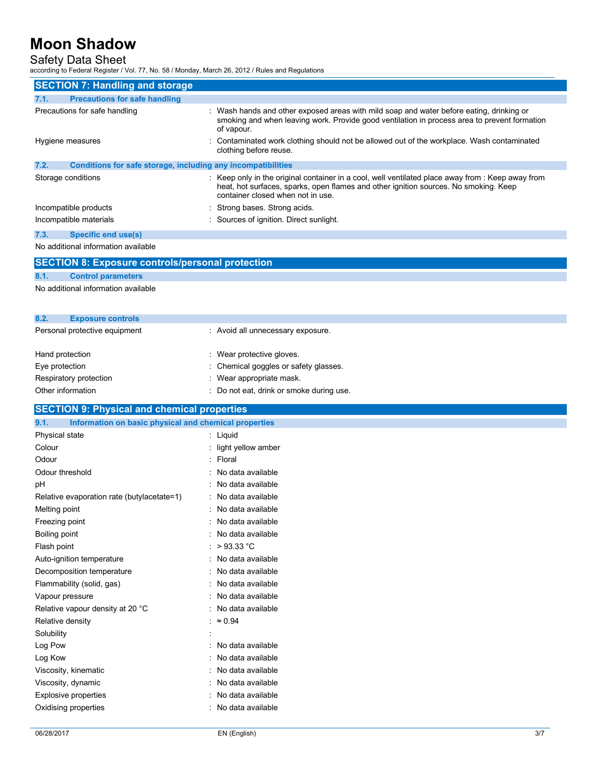### Safety Data Sheet

according to Federal Register / Vol. 77, No. 58 / Monday, March 26, 2012 / Rules and Regulations

| <b>SECTION 7: Handling and storage</b>                               |                                                                                                                                                                                                                                |  |
|----------------------------------------------------------------------|--------------------------------------------------------------------------------------------------------------------------------------------------------------------------------------------------------------------------------|--|
| <b>Precautions for safe handling</b><br>7.1.                         |                                                                                                                                                                                                                                |  |
| Precautions for safe handling                                        | : Wash hands and other exposed areas with mild soap and water before eating, drinking or<br>smoking and when leaving work. Provide good ventilation in process area to prevent formation<br>of vapour.                         |  |
| Hygiene measures                                                     | Contaminated work clothing should not be allowed out of the workplace. Wash contaminated<br>clothing before reuse.                                                                                                             |  |
| Conditions for safe storage, including any incompatibilities<br>7.2. |                                                                                                                                                                                                                                |  |
| Storage conditions                                                   | : Keep only in the original container in a cool, well ventilated place away from : Keep away from<br>heat, hot surfaces, sparks, open flames and other ignition sources. No smoking. Keep<br>container closed when not in use. |  |
| Incompatible products                                                | Strong bases. Strong acids.                                                                                                                                                                                                    |  |
| Incompatible materials                                               | : Sources of ignition. Direct sunlight.                                                                                                                                                                                        |  |
| Specific end use(s)<br>7.3.                                          |                                                                                                                                                                                                                                |  |
| No additional information available                                  |                                                                                                                                                                                                                                |  |
| <b>SECTION 8: Exposure controls/personal protection</b>              |                                                                                                                                                                                                                                |  |
| 8.1.<br><b>Control parameters</b>                                    |                                                                                                                                                                                                                                |  |
| No additional information available                                  |                                                                                                                                                                                                                                |  |
|                                                                      |                                                                                                                                                                                                                                |  |
|                                                                      |                                                                                                                                                                                                                                |  |
| 8.2.<br><b>Exposure controls</b>                                     |                                                                                                                                                                                                                                |  |
| Personal protective equipment                                        | : Avoid all unnecessary exposure.                                                                                                                                                                                              |  |
| Hand protection                                                      | : Wear protective gloves.                                                                                                                                                                                                      |  |
| Eye protection                                                       | Chemical goggles or safety glasses.                                                                                                                                                                                            |  |
| Respiratory protection                                               | Wear appropriate mask.                                                                                                                                                                                                         |  |
| Other information                                                    | Do not eat, drink or smoke during use.                                                                                                                                                                                         |  |
| <b>SECTION 9: Physical and chemical properties</b>                   |                                                                                                                                                                                                                                |  |
| 9.1.<br>Information on basic physical and chemical properties        |                                                                                                                                                                                                                                |  |
| <b>Physical state</b>                                                | : Liquid                                                                                                                                                                                                                       |  |
| Colour                                                               | light yellow amber                                                                                                                                                                                                             |  |
| Odour                                                                | : Floral                                                                                                                                                                                                                       |  |
| Odour threshold                                                      | No data available                                                                                                                                                                                                              |  |
| pH                                                                   | : No data available                                                                                                                                                                                                            |  |
| Relative evaporation rate (butylacetate=1)                           | : No data available                                                                                                                                                                                                            |  |
| Melting point                                                        | : No data available                                                                                                                                                                                                            |  |
| Freezing point                                                       | No data available                                                                                                                                                                                                              |  |
| Boiling point                                                        | No data available                                                                                                                                                                                                              |  |
| Flash point                                                          | : > 93.33 °C                                                                                                                                                                                                                   |  |
| Auto-ignition temperature                                            | : No data available                                                                                                                                                                                                            |  |
| Decomposition temperature                                            | No data available                                                                                                                                                                                                              |  |
| Flammability (solid, gas)                                            | No data available                                                                                                                                                                                                              |  |
| Vapour pressure                                                      | : No data available                                                                                                                                                                                                            |  |
| Relative vapour density at 20 °C                                     | : No data available                                                                                                                                                                                                            |  |
| Relative density                                                     | : $\approx 0.94$                                                                                                                                                                                                               |  |
| Solubility                                                           |                                                                                                                                                                                                                                |  |
| Log Pow                                                              | No data available                                                                                                                                                                                                              |  |
| Log Kow                                                              | No data available                                                                                                                                                                                                              |  |
| Viscosity, kinematic                                                 | No data available                                                                                                                                                                                                              |  |
| Viscosity, dynamic                                                   | No data available                                                                                                                                                                                                              |  |
| <b>Explosive properties</b>                                          | No data available                                                                                                                                                                                                              |  |
| Oxidising properties                                                 | : No data available                                                                                                                                                                                                            |  |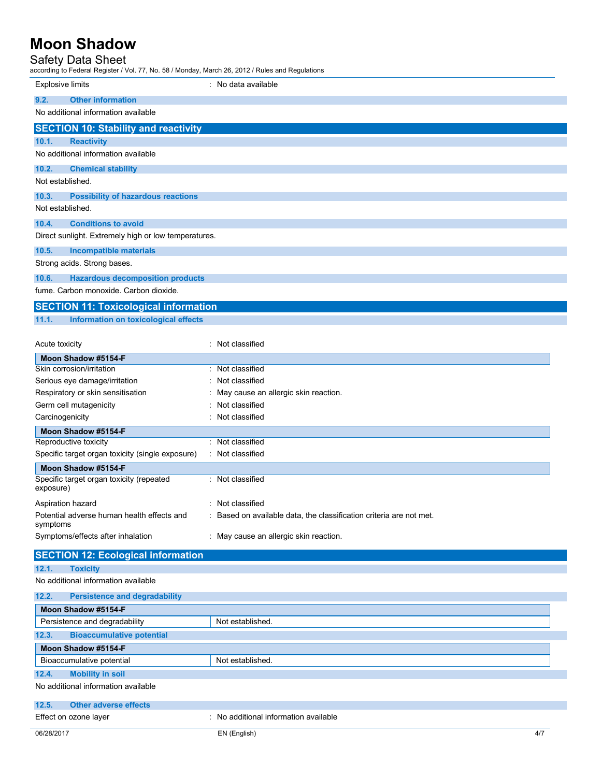## Safety Data Sheet

according to Federal Register / Vol. 77, No. 58 / Monday, March 26, 2012 / Rules and Regulations

| <b>Explosive limits</b><br>: No data available       |                                        |  |  |
|------------------------------------------------------|----------------------------------------|--|--|
| 9.2.<br><b>Other information</b>                     |                                        |  |  |
| No additional information available                  |                                        |  |  |
|                                                      |                                        |  |  |
| <b>SECTION 10: Stability and reactivity</b>          |                                        |  |  |
| 10.1.<br><b>Reactivity</b>                           |                                        |  |  |
| No additional information available                  |                                        |  |  |
| 10.2.<br><b>Chemical stability</b>                   |                                        |  |  |
| Not established.                                     |                                        |  |  |
| 10.3.<br><b>Possibility of hazardous reactions</b>   |                                        |  |  |
| Not established.                                     |                                        |  |  |
| <b>Conditions to avoid</b><br>10.4.                  |                                        |  |  |
| Direct sunlight. Extremely high or low temperatures. |                                        |  |  |
| 10.5.<br><b>Incompatible materials</b>               |                                        |  |  |
| Strong acids. Strong bases.                          |                                        |  |  |
| 10.6.<br><b>Hazardous decomposition products</b>     |                                        |  |  |
| fume. Carbon monoxide. Carbon dioxide.               |                                        |  |  |
| <b>SECTION 11: Toxicological information</b>         |                                        |  |  |
| 11.1.<br>Information on toxicological effects        |                                        |  |  |
|                                                      |                                        |  |  |
| Acute toxicity                                       | : Not classified                       |  |  |
| Moon Shadow #5154-F                                  |                                        |  |  |
| Skin corrosion/irritation                            | : Not classified                       |  |  |
| Serious eye damage/irritation                        | Not classified                         |  |  |
| Respiratory or skin sensitisation                    | : May cause an allergic skin reaction. |  |  |
| Germ cell mutagenicity                               | : Not classified                       |  |  |

| Carcinogenicity                                        | : Not classified                                                    |
|--------------------------------------------------------|---------------------------------------------------------------------|
| Moon Shadow #5154-F                                    |                                                                     |
| Reproductive toxicity                                  | : Not classified                                                    |
| Specific target organ toxicity (single exposure)       | : Not classified                                                    |
| Moon Shadow #5154-F                                    |                                                                     |
| Specific target organ toxicity (repeated<br>exposure)  | : Not classified                                                    |
| Aspiration hazard                                      | : Not classified                                                    |
| Potential adverse human health effects and<br>symptoms | : Based on available data, the classification criteria are not met. |
| Symptoms/effects after inhalation                      | : May cause an allergic skin reaction.                              |

**12.1. Toxicity** 

No additional information available

| 12.2.                               | <b>Persistence and degradability</b> |                                       |  |
|-------------------------------------|--------------------------------------|---------------------------------------|--|
|                                     | Moon Shadow #5154-F                  |                                       |  |
| Persistence and degradability       |                                      | Not established.                      |  |
| 12.3.                               | <b>Bioaccumulative potential</b>     |                                       |  |
| Moon Shadow #5154-F                 |                                      |                                       |  |
| Bioaccumulative potential           |                                      | Not established.                      |  |
| 12.4.                               | <b>Mobility in soil</b>              |                                       |  |
| No additional information available |                                      |                                       |  |
| 12.5.                               | <b>Other adverse effects</b>         |                                       |  |
| Effect on ozone layer               |                                      | : No additional information available |  |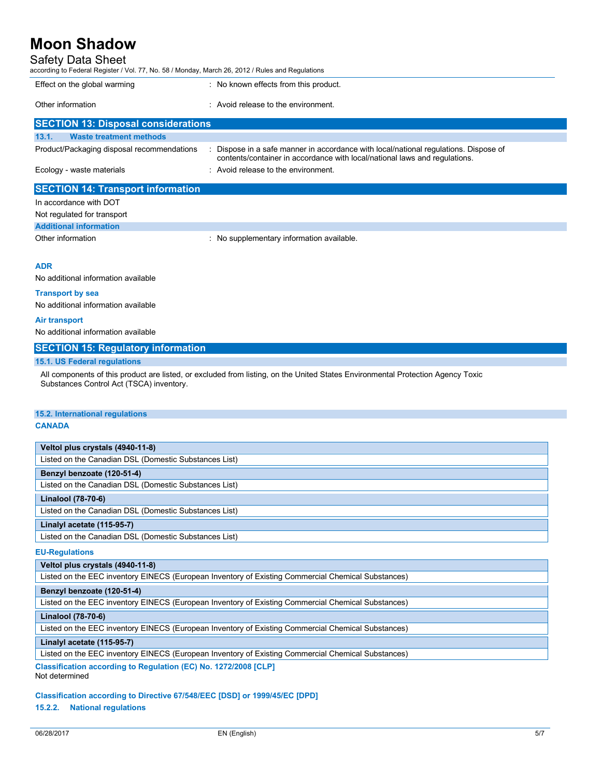## Safety Data Sheet

| Jaicly Dala Jilcci<br>according to Federal Register / Vol. 77, No. 58 / Monday, March 26, 2012 / Rules and Regulations |                                                                                                                                                                  |  |  |
|------------------------------------------------------------------------------------------------------------------------|------------------------------------------------------------------------------------------------------------------------------------------------------------------|--|--|
| Effect on the global warming                                                                                           | : No known effects from this product.                                                                                                                            |  |  |
| Other information                                                                                                      | $:$ Avoid release to the environment.                                                                                                                            |  |  |
| <b>SECTION 13: Disposal considerations</b>                                                                             |                                                                                                                                                                  |  |  |
| <b>Waste treatment methods</b><br>13.1.                                                                                |                                                                                                                                                                  |  |  |
| Product/Packaging disposal recommendations                                                                             | Dispose in a safe manner in accordance with local/national regulations. Dispose of<br>contents/container in accordance with local/national laws and requlations. |  |  |
| Ecology - waste materials                                                                                              | $:$ Avoid release to the environment.                                                                                                                            |  |  |
| <b>SECTION 14: Transport information</b>                                                                               |                                                                                                                                                                  |  |  |
| In accordance with DOT                                                                                                 |                                                                                                                                                                  |  |  |

Not regulated for transport

#### **Additional information**

Other information **contracts** : No supplementary information available.

#### **ADR**

No additional information available

#### **Transport by sea**

No additional information available

#### **Air transport**

No additional information available

#### **SECTION 15: Regulatory information**

#### **15.1. US Federal regulations**

All components of this product are listed, or excluded from listing, on the United States Environmental Protection Agency Toxic Substances Control Act (TSCA) inventory.

#### **15.2. International regulations**

#### **CANADA**

#### **Veltol plus crystals (4940-11-8)**

Listed on the Canadian DSL (Domestic Substances List)

#### **Benzyl benzoate (120-51-4)**

Listed on the Canadian DSL (Domestic Substances List)

#### **Linalool (78-70-6)**

Listed on the Canadian DSL (Domestic Substances List)

#### **Linalyl acetate (115-95-7)**

Listed on the Canadian DSL (Domestic Substances List)

#### **EU-Regulations**

**Veltol plus crystals (4940-11-8)** 

Listed on the EEC inventory EINECS (European Inventory of Existing Commercial Chemical Substances)

#### **Benzyl benzoate (120-51-4)**

Listed on the EEC inventory EINECS (European Inventory of Existing Commercial Chemical Substances)

#### **Linalool (78-70-6)**

Listed on the EEC inventory EINECS (European Inventory of Existing Commercial Chemical Substances)

#### **Linalyl acetate (115-95-7)**

Listed on the EEC inventory EINECS (European Inventory of Existing Commercial Chemical Substances)

**Classification according to Regulation (EC) No. 1272/2008 [CLP]**  Not determined

## **Classification according to Directive 67/548/EEC [DSD] or 1999/45/EC [DPD]**

#### **15.2.2. National regulations**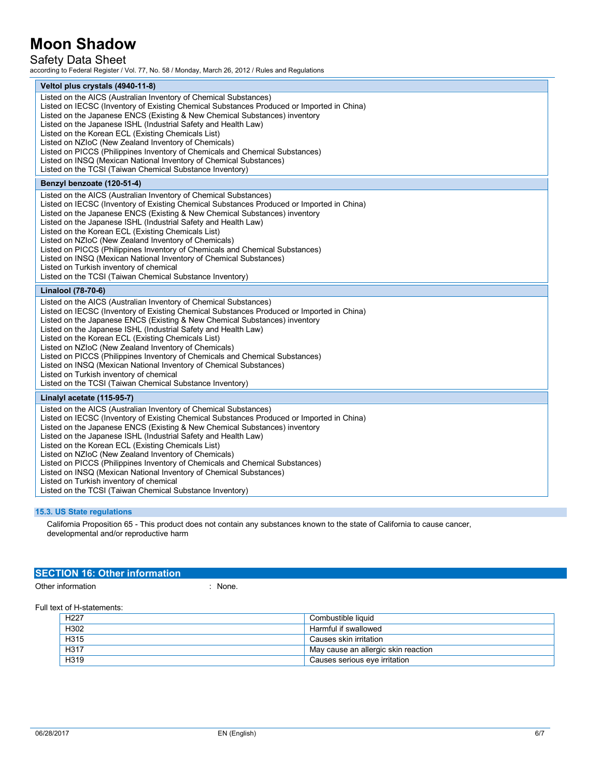## Safety Data Sheet

according to Federal Register / Vol. 77, No. 58 / Monday, March 26, 2012 / Rules and Regulations

| Veltol plus crystals (4940-11-8)                                                                                                                                                                                                                                                                                                                                                                                                                                                                                                                                                                                                                                                         |
|------------------------------------------------------------------------------------------------------------------------------------------------------------------------------------------------------------------------------------------------------------------------------------------------------------------------------------------------------------------------------------------------------------------------------------------------------------------------------------------------------------------------------------------------------------------------------------------------------------------------------------------------------------------------------------------|
| Listed on the AICS (Australian Inventory of Chemical Substances)<br>Listed on IECSC (Inventory of Existing Chemical Substances Produced or Imported in China)<br>Listed on the Japanese ENCS (Existing & New Chemical Substances) inventory<br>Listed on the Japanese ISHL (Industrial Safety and Health Law)<br>Listed on the Korean ECL (Existing Chemicals List)<br>Listed on NZIoC (New Zealand Inventory of Chemicals)<br>Listed on PICCS (Philippines Inventory of Chemicals and Chemical Substances)<br>Listed on INSQ (Mexican National Inventory of Chemical Substances)<br>Listed on the TCSI (Taiwan Chemical Substance Inventory)                                            |
| Benzyl benzoate (120-51-4)                                                                                                                                                                                                                                                                                                                                                                                                                                                                                                                                                                                                                                                               |
| Listed on the AICS (Australian Inventory of Chemical Substances)<br>Listed on IECSC (Inventory of Existing Chemical Substances Produced or Imported in China)<br>Listed on the Japanese ENCS (Existing & New Chemical Substances) inventory<br>Listed on the Japanese ISHL (Industrial Safety and Health Law)<br>Listed on the Korean ECL (Existing Chemicals List)<br>Listed on NZIoC (New Zealand Inventory of Chemicals)<br>Listed on PICCS (Philippines Inventory of Chemicals and Chemical Substances)<br>Listed on INSQ (Mexican National Inventory of Chemical Substances)<br>Listed on Turkish inventory of chemical<br>Listed on the TCSI (Taiwan Chemical Substance Inventory) |
| Linalool (78-70-6)                                                                                                                                                                                                                                                                                                                                                                                                                                                                                                                                                                                                                                                                       |
| Listed on the AICS (Australian Inventory of Chemical Substances)<br>Listed on IECSC (Inventory of Existing Chemical Substances Produced or Imported in China)<br>Listed on the Japanese ENCS (Existing & New Chemical Substances) inventory<br>Listed on the Japanese ISHL (Industrial Safety and Health Law)<br>Listed on the Korean ECL (Existing Chemicals List)<br>Listed on NZIoC (New Zealand Inventory of Chemicals)<br>Listed on PICCS (Philippines Inventory of Chemicals and Chemical Substances)<br>Listed on INSQ (Mexican National Inventory of Chemical Substances)<br>Listed on Turkish inventory of chemical<br>Listed on the TCSI (Taiwan Chemical Substance Inventory) |
| Linalyl acetate (115-95-7)                                                                                                                                                                                                                                                                                                                                                                                                                                                                                                                                                                                                                                                               |
| Listed on the AICS (Australian Inventory of Chemical Substances)<br>Listed on IECSC (Inventory of Existing Chemical Substances Produced or Imported in China)<br>Listed on the Japanese ENCS (Existing & New Chemical Substances) inventory<br>Listed on the Japanese ISHL (Industrial Safety and Health Law)<br>Listed on the Korean ECL (Existing Chemicals List)<br>Listed on NZIoC (New Zealand Inventory of Chemicals)<br>Listed on PICCS (Philippines Inventory of Chemicals and Chemical Substances)<br>Listed on INSQ (Mexican National Inventory of Chemical Substances)<br>Listed on Turkish inventory of chemical<br>Listed on the TCSI (Taiwan Chemical Substance Inventory) |
|                                                                                                                                                                                                                                                                                                                                                                                                                                                                                                                                                                                                                                                                                          |

**15.3. US State regulations** 

California Proposition 65 - This product does not contain any substances known to the state of California to cause cancer, developmental and/or reproductive harm

### **SECTION 16: Other information**

Other information in the set of the set of the set of the set of the set of the set of the set of the set of the set of the set of the set of the set of the set of the set of the set of the set of the set of the set of the

#### Full text of H-statements:

| H <sub>227</sub> | Combustible liquid                  |
|------------------|-------------------------------------|
| H302             | Harmful if swallowed                |
| H315             | Causes skin irritation              |
| H317             | May cause an allergic skin reaction |
| H319             | Causes serious eye irritation       |